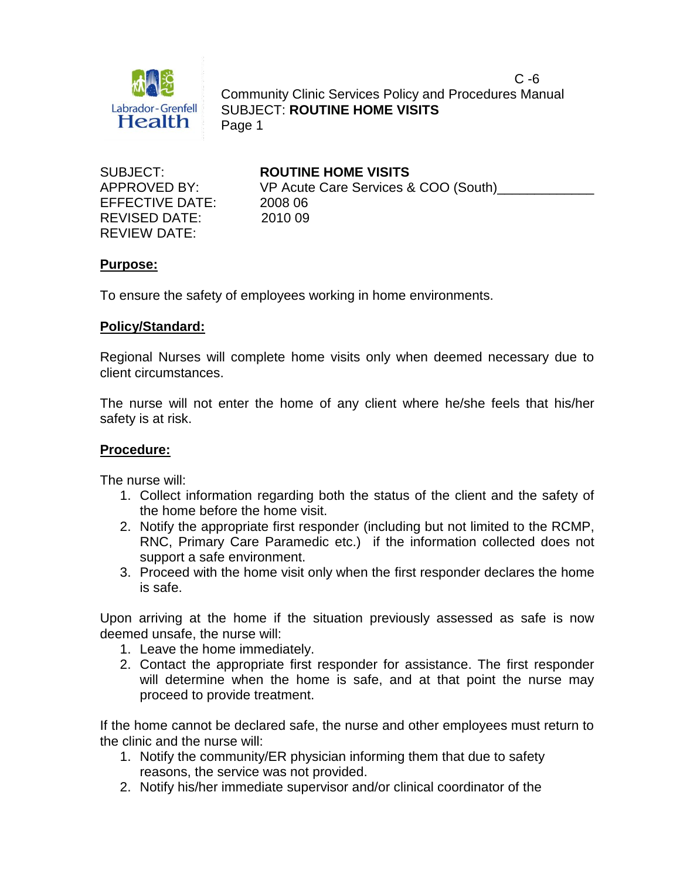

 $C - 6$  Community Clinic Services Policy and Procedures Manual SUBJECT: **ROUTINE HOME VISITS** Page 1

EFFECTIVE DATE: 2008 06 REVISED DATE: 2010 09 REVIEW DATE:

SUBJECT: **ROUTINE HOME VISITS** APPROVED BY: VP Acute Care Services & COO (South)

# **Purpose:**

To ensure the safety of employees working in home environments.

# **Policy/Standard:**

Regional Nurses will complete home visits only when deemed necessary due to client circumstances.

The nurse will not enter the home of any client where he/she feels that his/her safety is at risk.

# **Procedure:**

The nurse will:

- 1. Collect information regarding both the status of the client and the safety of the home before the home visit.
- 2. Notify the appropriate first responder (including but not limited to the RCMP, RNC, Primary Care Paramedic etc.) if the information collected does not support a safe environment.
- 3. Proceed with the home visit only when the first responder declares the home is safe.

Upon arriving at the home if the situation previously assessed as safe is now deemed unsafe, the nurse will:

- 1. Leave the home immediately.
- 2. Contact the appropriate first responder for assistance. The first responder will determine when the home is safe, and at that point the nurse may proceed to provide treatment.

If the home cannot be declared safe, the nurse and other employees must return to the clinic and the nurse will:

- 1. Notify the community/ER physician informing them that due to safety reasons, the service was not provided.
- 2. Notify his/her immediate supervisor and/or clinical coordinator of the